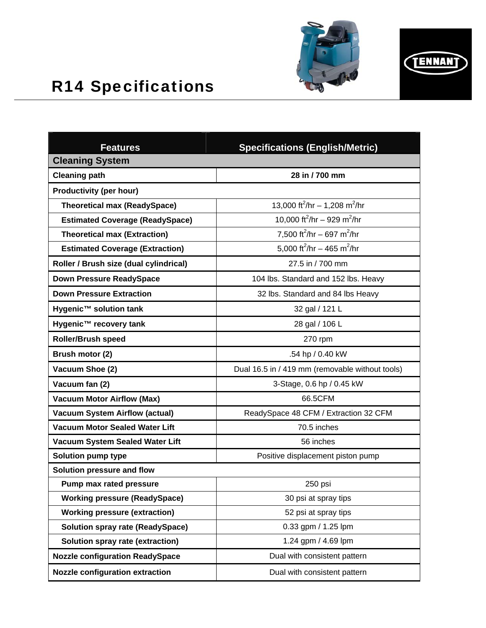



## R14 Specifications

| <b>Features</b>                         | <b>Specifications (English/Metric)</b>                |
|-----------------------------------------|-------------------------------------------------------|
| <b>Cleaning System</b>                  |                                                       |
| <b>Cleaning path</b>                    | 28 in / 700 mm                                        |
| <b>Productivity (per hour)</b>          |                                                       |
| <b>Theoretical max (ReadySpace)</b>     | 13,000 ft <sup>2</sup> /hr - 1,208 m <sup>2</sup> /hr |
| <b>Estimated Coverage (ReadySpace)</b>  | 10,000 ft <sup>2</sup> /hr - 929 m <sup>2</sup> /hr   |
| <b>Theoretical max (Extraction)</b>     | 7,500 ft <sup>2</sup> /hr - 697 m <sup>2</sup> /hr    |
| <b>Estimated Coverage (Extraction)</b>  | 5.000 ft <sup>2</sup> /hr - 465 m <sup>2</sup> /hr    |
| Roller / Brush size (dual cylindrical)  | 27.5 in / 700 mm                                      |
| <b>Down Pressure ReadySpace</b>         | 104 lbs. Standard and 152 lbs. Heavy                  |
| <b>Down Pressure Extraction</b>         | 32 lbs. Standard and 84 lbs Heavy                     |
| Hygenic™ solution tank                  | 32 gal / 121 L                                        |
| Hygenic™ recovery tank                  | 28 gal / 106 L                                        |
| <b>Roller/Brush speed</b>               | 270 rpm                                               |
| Brush motor (2)                         | .54 hp / 0.40 kW                                      |
| Vacuum Shoe (2)                         | Dual 16.5 in / 419 mm (removable without tools)       |
| Vacuum fan (2)                          | 3-Stage, 0.6 hp / 0.45 kW                             |
| <b>Vacuum Motor Airflow (Max)</b>       | 66.5CFM                                               |
| <b>Vacuum System Airflow (actual)</b>   | ReadySpace 48 CFM / Extraction 32 CFM                 |
| <b>Vacuum Motor Sealed Water Lift</b>   | 70.5 inches                                           |
| Vacuum System Sealed Water Lift         | 56 inches                                             |
| <b>Solution pump type</b>               | Positive displacement piston pump                     |
| Solution pressure and flow              |                                                       |
| Pump max rated pressure                 | 250 psi                                               |
| <b>Working pressure (ReadySpace)</b>    | 30 psi at spray tips                                  |
| <b>Working pressure (extraction)</b>    | 52 psi at spray tips                                  |
| <b>Solution spray rate (ReadySpace)</b> | 0.33 gpm / 1.25 lpm                                   |
| Solution spray rate (extraction)        | 1.24 gpm / 4.69 lpm                                   |
| <b>Nozzle configuration ReadySpace</b>  | Dual with consistent pattern                          |
| <b>Nozzle configuration extraction</b>  | Dual with consistent pattern                          |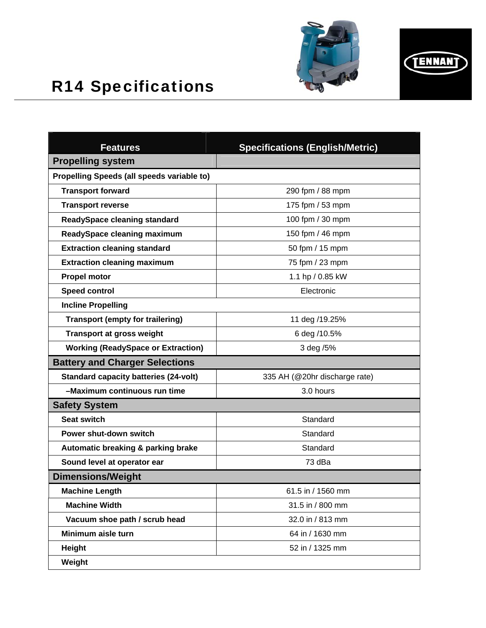



## R14 Specifications

| <b>Features</b>                              | <b>Specifications (English/Metric)</b> |
|----------------------------------------------|----------------------------------------|
| <b>Propelling system</b>                     |                                        |
| Propelling Speeds (all speeds variable to)   |                                        |
| <b>Transport forward</b>                     | 290 fpm / 88 mpm                       |
| <b>Transport reverse</b>                     | 175 fpm / 53 mpm                       |
| <b>ReadySpace cleaning standard</b>          | 100 fpm / 30 mpm                       |
| <b>ReadySpace cleaning maximum</b>           | 150 fpm / 46 mpm                       |
| <b>Extraction cleaning standard</b>          | 50 fpm / 15 mpm                        |
| <b>Extraction cleaning maximum</b>           | 75 fpm / 23 mpm                        |
| <b>Propel motor</b>                          | 1.1 hp / 0.85 kW                       |
| <b>Speed control</b>                         | Electronic                             |
| <b>Incline Propelling</b>                    |                                        |
| <b>Transport (empty for trailering)</b>      | 11 deg /19.25%                         |
| <b>Transport at gross weight</b>             | 6 deg /10.5%                           |
| <b>Working (ReadySpace or Extraction)</b>    | 3 deg /5%                              |
| <b>Battery and Charger Selections</b>        |                                        |
| <b>Standard capacity batteries (24-volt)</b> | 335 AH (@20hr discharge rate)          |
| -Maximum continuous run time                 | 3.0 hours                              |
| <b>Safety System</b>                         |                                        |
| <b>Seat switch</b>                           | Standard                               |
| Power shut-down switch                       | Standard                               |
| Automatic breaking & parking brake           | Standard                               |
| Sound level at operator ear                  | 73 dBa                                 |
| <b>Dimensions/Weight</b>                     |                                        |
| <b>Machine Length</b>                        | 61.5 in / 1560 mm                      |
| <b>Machine Width</b>                         | 31.5 in / 800 mm                       |
| Vacuum shoe path / scrub head                | 32.0 in / 813 mm                       |
| Minimum aisle turn                           | 64 in / 1630 mm                        |
| <b>Height</b>                                | 52 in / 1325 mm                        |
| Weight                                       |                                        |